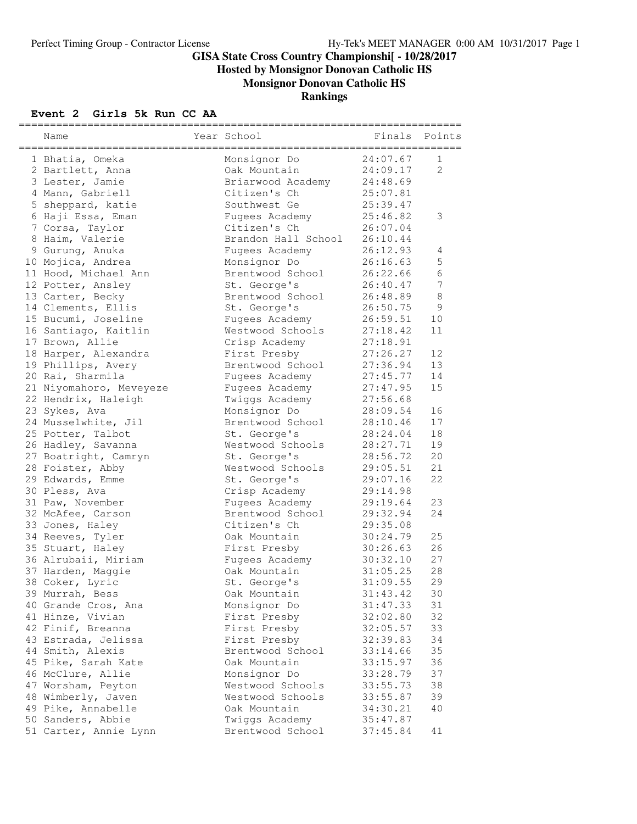**Hosted by Monsignor Donovan Catholic HS**

**Monsignor Donovan Catholic HS**

#### **Rankings**

#### **Event 2 Girls 5k Run CC AA**

| Name                                                  | Year School         | Finals   | Points         |
|-------------------------------------------------------|---------------------|----------|----------------|
| .=================================<br>1 Bhatia, Omeka | Monsignor Do        | 24:07.67 | 1              |
| 2 Bartlett, Anna                                      | Oak Mountain        | 24:09.17 | $\overline{2}$ |
| 3 Lester, Jamie                                       | Briarwood Academy   | 24:48.69 |                |
| 4 Mann, Gabriell                                      | Citizen's Ch        | 25:07.81 |                |
| 5 sheppard, katie                                     | Southwest Ge        | 25:39.47 |                |
| 6 Haji Essa, Eman                                     | Fugees Academy      | 25:46.82 | 3              |
| 7 Corsa, Taylor                                       | Citizen's Ch        | 26:07.04 |                |
| 8 Haim, Valerie                                       | Brandon Hall School | 26:10.44 |                |
| 9 Gurung, Anuka                                       | Fugees Academy      | 26:12.93 | 4              |
| 10 Mojica, Andrea                                     | Monsignor Do        | 26:16.63 | $\mathsf S$    |
| 11 Hood, Michael Ann                                  | Brentwood School    | 26:22.66 | 6              |
| 12 Potter, Ansley                                     | St. George's        | 26:40.47 | 7              |
| 13 Carter, Becky                                      | Brentwood School    | 26:48.89 | 8              |
| 14 Clements, Ellis                                    | St. George's        | 26:50.75 | $\mathsf 9$    |
| 15 Bucumi, Joseline                                   | Fugees Academy      | 26:59.51 | 10             |
| 16 Santiago, Kaitlin                                  | Westwood Schools    | 27:18.42 | 11             |
| 17 Brown, Allie                                       | Crisp Academy       | 27:18.91 |                |
| 18 Harper, Alexandra                                  | First Presby        | 27:26.27 | 12             |
| 19 Phillips, Avery                                    | Brentwood School    | 27:36.94 | 13             |
| 20 Rai, Sharmila                                      | Fugees Academy      | 27:45.77 | 14             |
| 21 Niyomahoro, Meveyeze                               | Fugees Academy      | 27:47.95 | 15             |
| 22 Hendrix, Haleigh                                   | Twiggs Academy      | 27:56.68 |                |
| 23 Sykes, Ava                                         | Monsignor Do        | 28:09.54 | 16             |
| 24 Musselwhite, Jil                                   | Brentwood School    | 28:10.46 | 17             |
| 25 Potter, Talbot                                     | St. George's        | 28:24.04 | 18             |
| 26 Hadley, Savanna                                    | Westwood Schools    | 28:27.71 | 19             |
| 27 Boatright, Camryn                                  | St. George's        | 28:56.72 | 20             |
| 28 Foister, Abby                                      | Westwood Schools    | 29:05.51 | 21             |
| 29 Edwards, Emme                                      | St. George's        | 29:07.16 | 22             |
| 30 Pless, Ava                                         | Crisp Academy       | 29:14.98 |                |
| 31 Paw, November                                      | Fugees Academy      | 29:19.64 | 23             |
| 32 McAfee, Carson                                     | Brentwood School    | 29:32.94 | 24             |
| 33 Jones, Haley                                       | Citizen's Ch        | 29:35.08 |                |
| 34 Reeves, Tyler                                      | Oak Mountain        | 30:24.79 | 25             |
| 35 Stuart, Haley                                      | First Presby        | 30:26.63 | 26             |
| 36 Alrubaii, Miriam                                   | Fugees Academy      | 30:32.10 | 27             |
| 37 Harden, Maggie                                     | Oak Mountain        | 31:05.25 | 28             |
| 38 Coker, Lyric                                       | St. George's        | 31:09.55 | 29             |
| 39 Murrah, Bess                                       | Oak Mountain        | 31:43.42 | 30             |
| 40 Grande Cros, Ana                                   | Monsignor Do        | 31:47.33 | 31             |
| 41 Hinze, Vivian                                      | First Presby        | 32:02.80 | 32             |
| 42 Finif, Breanna                                     | First Presby        | 32:05.57 | 33             |
| 43 Estrada, Jelissa                                   | First Presby        | 32:39.83 | 34             |
| 44 Smith, Alexis                                      | Brentwood School    | 33:14.66 | 35             |
| 45 Pike, Sarah Kate                                   | Oak Mountain        | 33:15.97 | 36             |
| 46 McClure, Allie                                     | Monsignor Do        | 33:28.79 | 37             |
| 47 Worsham, Peyton                                    | Westwood Schools    | 33:55.73 | 38             |
| 48 Wimberly, Javen                                    | Westwood Schools    | 33:55.87 | 39             |
| 49 Pike, Annabelle                                    | Oak Mountain        | 34:30.21 | 40             |
| 50 Sanders, Abbie                                     | Twiggs Academy      | 35:47.87 |                |
| 51 Carter, Annie Lynn                                 | Brentwood School    | 37:45.84 | 41             |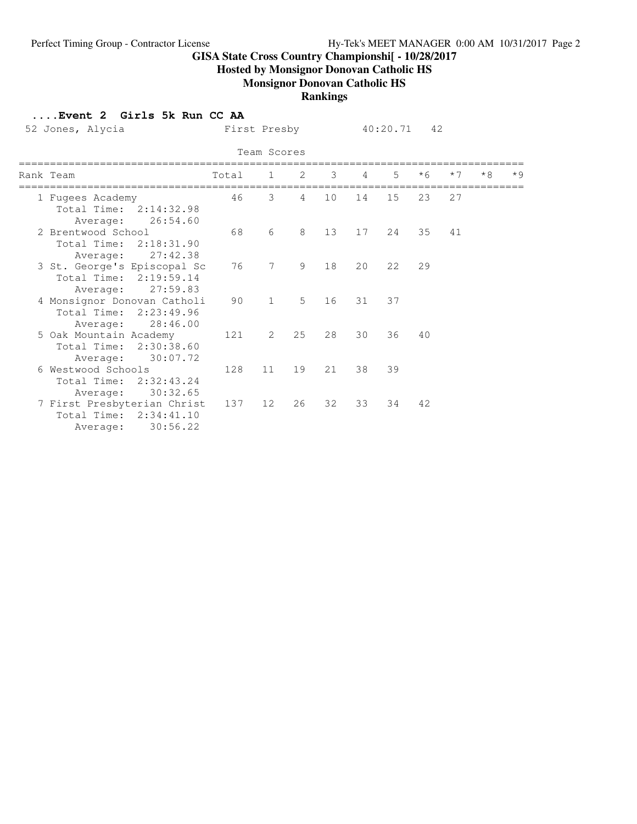**Hosted by Monsignor Donovan Catholic HS**

# **Monsignor Donovan Catholic HS**

#### **Rankings**

#### **....Event 2 Girls 5k Run CC AA**

| 52 Jones, Alycia                                                  |                        |       | First Presby           |           |               |                | 40:20.71 | 42   |      |      |           |
|-------------------------------------------------------------------|------------------------|-------|------------------------|-----------|---------------|----------------|----------|------|------|------|-----------|
|                                                                   |                        |       | Team Scores            |           |               |                |          |      |      |      |           |
| Rank Team                                                         |                        | Total | $1 \quad \blacksquare$ | 2         | $\mathcal{B}$ | $\overline{4}$ | 5        | $*6$ | $*7$ | $*8$ | $\star$ Q |
| 1 Fugees Academy<br>Total Time: 2:14:32.98<br>Average:            | 26:54.60               | 46    | 3                      | $4 \quad$ | 10            | 14             | 15       | 23   | 27   |      |           |
| 2 Brentwood School<br>Total Time:<br>Average:                     | 2:18:31.90<br>27:42.38 | 68    | 6                      | 8         | 13            | 17             | 2.4      | 35   | 41   |      |           |
| 3 St. George's Episcopal Sc<br>Total Time: 2:19:59.14<br>Average: | 27:59.83               | 76    | 7                      | 9         | 18            | 20             | 22       | 29   |      |      |           |
| 4 Monsignor Donovan Catholi<br>Total Time: 2:23:49.96             | Average: 28:46.00      | 90    | $\mathbf{1}$           | $5 -$     | 16            | 31             | 37       |      |      |      |           |
| 5 Oak Mountain Academy<br>Total Time:<br>Average:                 | 2:30:38.60<br>30:07.72 | 121   | 2                      | 25        | 28            | 30             | 36       | 40   |      |      |           |
| 6 Westwood Schools<br>Total Time:<br>Average:                     | 2:32:43.24<br>30:32.65 | 128   | 11                     | 19        | 21            | 38             | 39       |      |      |      |           |
| 7 First Presbyterian Christ<br>Total Time: 2:34:41.10<br>Average: | 30:56.22               | 137   | 12                     | 26        | 32            | 33             | 34       | 42   |      |      |           |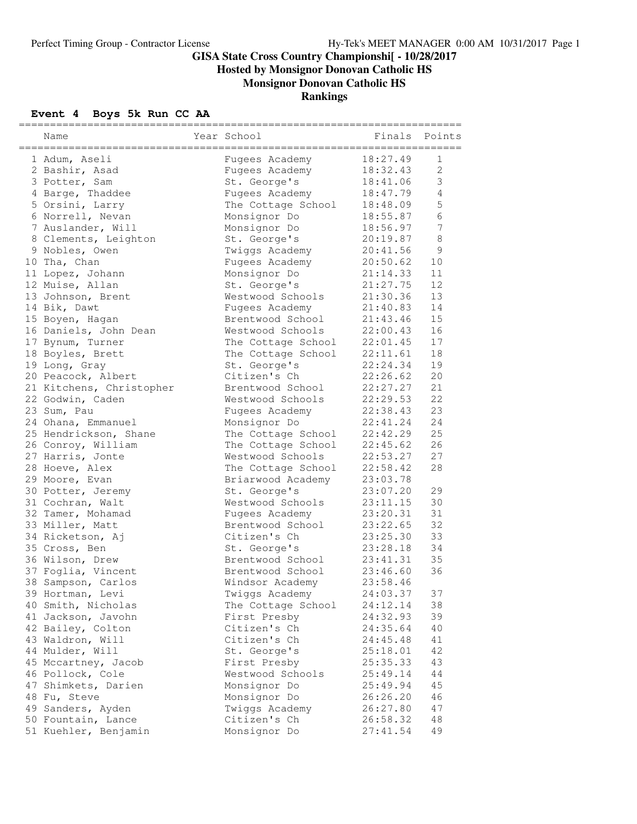**Hosted by Monsignor Donovan Catholic HS**

**Monsignor Donovan Catholic HS**

## **Rankings**

## **Event 4 Boys 5k Run CC AA**

| Name                     | Year School<br>-------------------------- | Finals Points<br>:====== |                |
|--------------------------|-------------------------------------------|--------------------------|----------------|
| 1 Adum, Aseli            | Fugees Academy                            | 18:27.49                 | $\mathbf{1}$   |
| 2 Bashir, Asad           | Fugees Academy                            | 18:32.43                 | 2              |
| 3 Potter, Sam            | St. George's                              | 18:41.06                 | $\mathfrak{Z}$ |
| 4 Barge, Thaddee         | Fugees Academy                            | 18:47.79                 | $\overline{4}$ |
| 5 Orsini, Larry          | The Cottage School                        | 18:48.09                 | 5              |
| 6 Norrell, Nevan         | Monsignor Do                              | 18:55.87                 | 6              |
| 7 Auslander, Will        | Monsignor Do                              | 18:56.97                 | $\overline{7}$ |
| 8 Clements, Leighton     | St. George's                              | 20:19.87                 | $\,8\,$        |
| 9 Nobles, Owen           | Twiggs Academy                            | 20:41.56                 | $\mathsf 9$    |
| 10 Tha, Chan             | Fugees Academy                            | 20:50.62                 | 10             |
| 11 Lopez, Johann         | Monsignor Do                              | 21:14.33                 | 11             |
| 12 Muise, Allan          | St. George's                              | 21:27.75                 | 12             |
| 13 Johnson, Brent        | Westwood Schools                          | 21:30.36                 | 13             |
| 14 Bik, Dawt             | Fugees Academy                            | 21:40.83                 | 14             |
| 15 Boyen, Hagan          | Brentwood School                          | 21:43.46                 | 15             |
| 16 Daniels, John Dean    | Westwood Schools                          | 22:00.43                 | 16             |
| 17 Bynum, Turner         | The Cottage School                        | 22:01.45                 | 17             |
| 18 Boyles, Brett         | The Cottage School                        | 22:11.61                 | 18             |
| 19 Long, Gray            | St. George's                              | 22:24.34                 | 19             |
| 20 Peacock, Albert       | Citizen's Ch                              | 22:26.62                 | 20             |
| 21 Kitchens, Christopher | Brentwood School                          | 22:27.27                 | 21             |
| 22 Godwin, Caden         | Westwood Schools                          | 22:29.53                 | 22             |
| 23 Sum, Pau              | Fugees Academy                            | 22:38.43                 | 23             |
| 24 Ohana, Emmanuel       | Monsignor Do                              | 22:41.24                 | 24             |
| 25 Hendrickson, Shane    | The Cottage School                        | 22:42.29                 | 25             |
| 26 Conroy, William       | The Cottage School                        | 22:45.62                 | 26             |
| 27 Harris, Jonte         | Westwood Schools                          | 22:53.27                 | 27             |
| 28 Hoeve, Alex           | The Cottage School                        | 22:58.42                 | 28             |
| 29 Moore, Evan           | Briarwood Academy                         | 23:03.78                 |                |
| 30 Potter, Jeremy        | St. George's                              | 23:07.20                 | 29             |
| 31 Cochran, Walt         | Westwood Schools                          | 23:11.15                 | 30             |
| 32 Tamer, Mohamad        | Fugees Academy                            | 23:20.31                 | 31             |
| 33 Miller, Matt          | Brentwood School                          | 23:22.65                 | 32             |
| 34 Ricketson, Aj         | Citizen's Ch                              | 23:25.30                 | 33             |
| 35 Cross, Ben            | St. George's                              | 23:28.18                 | 34             |
| 36 Wilson, Drew          | Brentwood School                          | 23:41.31                 | 35             |
| 37 Foglia, Vincent       | Brentwood School                          | 23:46.60                 | 36             |
| 38 Sampson, Carlos       | Windsor Academy                           | 23:58.46                 |                |
| 39 Hortman, Levi         | Twiggs Academy                            | 24:03.37                 | 37             |
| 40 Smith, Nicholas       | The Cottage School                        | 24:12.14                 | 38             |
| 41 Jackson, Javohn       | First Presby                              | 24:32.93                 | 39             |
| 42 Bailey, Colton        | Citizen's Ch                              | 24:35.64                 | 40             |
| 43 Waldron, Will         | Citizen's Ch                              | 24:45.48                 | 41             |
| 44 Mulder, Will          | St. George's                              | 25:18.01                 | 42             |
| 45 Mccartney, Jacob      | First Presby                              | 25:35.33                 | 43             |
| 46 Pollock, Cole         | Westwood Schools                          | 25:49.14                 | 44             |
| 47 Shimkets, Darien      | Monsignor Do                              | 25:49.94                 | 45             |
| 48 Fu, Steve             | Monsignor Do                              | 26:26.20                 | 46             |
| 49 Sanders, Ayden        | Twiggs Academy                            | 26:27.80                 | 47             |
| 50 Fountain, Lance       | Citizen's Ch                              | 26:58.32                 | 48             |
| 51 Kuehler, Benjamin     | Monsignor Do                              | 27:41.54                 | 49             |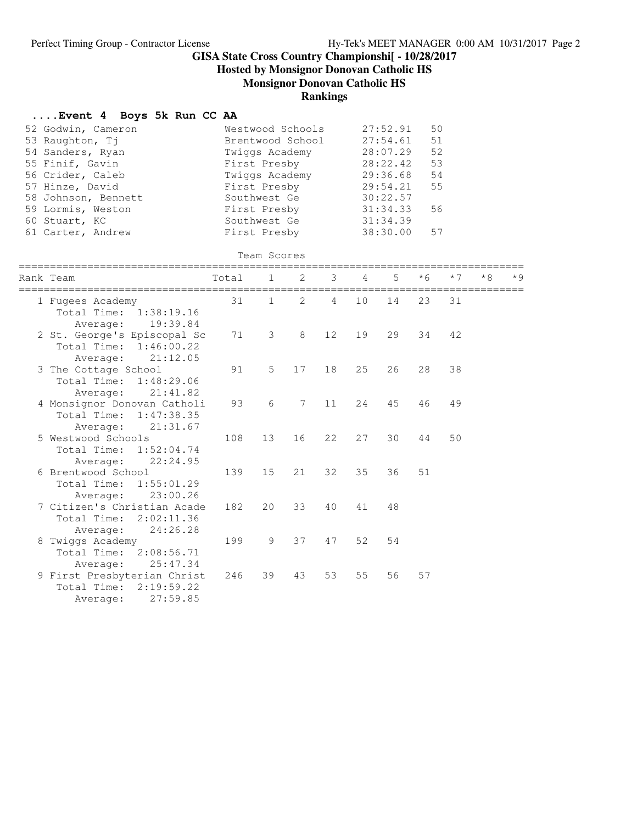**Hosted by Monsignor Donovan Catholic HS**

**Monsignor Donovan Catholic HS**

#### **Rankings**

# **....Event 4 Boys 5k Run CC AA**

|               |                      | $\ldots$ is velocing the boys of run come. |       |                             |                  |               |     |                   |      |      |      |           |
|---------------|----------------------|--------------------------------------------|-------|-----------------------------|------------------|---------------|-----|-------------------|------|------|------|-----------|
|               | 52 Godwin, Cameron   |                                            |       |                             | Westwood Schools |               |     | 27:52.91          | 50   |      |      |           |
|               | 53 Raughton, Tj      |                                            |       |                             | Brentwood School |               |     | 27:54.61          | 51   |      |      |           |
|               | 54 Sanders, Ryan     |                                            |       | Twiggs Academy              |                  |               |     | 28:07.29          | 52   |      |      |           |
|               | 55 Finif, Gavin      |                                            |       | First Presby                |                  |               |     | 28:22.42          | 53   |      |      |           |
|               | 56 Crider, Caleb     |                                            |       | Twiggs Academy              |                  |               |     | 29:36.68          | 54   |      |      |           |
|               | 57 Hinze, David      |                                            |       | First Presby                |                  |               |     | 29:54.21          | 55   |      |      |           |
|               | 58 Johnson, Bennett  |                                            |       | Southwest Ge                |                  |               |     | 30:22.57          |      |      |      |           |
|               | 59 Lormis, Weston    |                                            |       | First Presby                |                  |               |     | 31:34.33          | 56   |      |      |           |
| 60 Stuart, KC |                      |                                            |       | Southwest Ge                |                  |               |     | 31:34.39          |      |      |      |           |
|               | 61 Carter, Andrew    |                                            |       | First Presby                |                  |               |     | 38:30.00          | 57   |      |      |           |
|               |                      |                                            |       | Team Scores                 |                  |               |     |                   |      |      |      |           |
| Rank Team     |                      |                                            | Total | $\mathbf{1}$                | $\overline{2}$   | 3             | 4   | 5                 | $*6$ | $*7$ | $*8$ | $\star$ 9 |
|               | 1 Fugees Academy     |                                            | 31    | ===========<br>$\mathbf{1}$ | 2                | ========<br>4 | 10  | -----------<br>14 | 23   | 31   |      |           |
|               |                      | Total Time: 1:38:19.16                     |       |                             |                  |               |     |                   |      |      |      |           |
|               | Average:             | 19:39.84                                   |       |                             |                  |               |     |                   |      |      |      |           |
|               |                      | 2 St. George's Episcopal Sc                | 71    | 3                           | $\,8\,$          | 12            | 19  | 29                | 34   | 42   |      |           |
|               | Total Time:          | 1:46:00.22                                 |       |                             |                  |               |     |                   |      |      |      |           |
|               | Average:             | 21:12.05                                   |       |                             |                  |               |     |                   |      |      |      |           |
|               | 3 The Cottage School |                                            | 91    | 5                           | 17               | 18            | 25  | 26                | 28   | 38   |      |           |
|               | Total Time:          | 1:48:29.06                                 |       |                             |                  |               |     |                   |      |      |      |           |
|               | Average:             | 21:41.82                                   |       |                             |                  |               |     |                   |      |      |      |           |
|               |                      | 4 Monsignor Donovan Catholi                | 93    | 6                           | 7                | 11            | 2.4 | 45                | 46   | 49   |      |           |
|               | Total Time:          | 1:47:38.35                                 |       |                             |                  |               |     |                   |      |      |      |           |
|               | Average:             | 21:31.67                                   |       |                             |                  |               |     |                   |      |      |      |           |
|               | 5 Westwood Schools   |                                            | 108   | 13                          | 16               | 22            | 27  | 30                | 44   | 50   |      |           |
|               | Total Time:          | 1:52:04.74                                 |       |                             |                  |               |     |                   |      |      |      |           |
|               | Average:             | 22:24.95                                   |       |                             |                  |               |     |                   |      |      |      |           |
|               | 6 Brentwood School   |                                            | 139   | 15                          | 21               | 32            | 35  | 36                | 51   |      |      |           |
|               | Total Time:          | 1:55:01.29                                 |       |                             |                  |               |     |                   |      |      |      |           |
|               | Average:             | 23:00.26                                   |       |                             |                  |               |     |                   |      |      |      |           |
|               |                      | 7 Citizen's Christian Acade                | 182   | 20                          | 33               | 40            | 41  | 48                |      |      |      |           |
|               |                      | Total Time: 2:02:11.36                     |       |                             |                  |               |     |                   |      |      |      |           |
|               |                      | 24:26.28                                   |       |                             |                  |               |     |                   |      |      |      |           |
|               | Average:             |                                            |       |                             | 37               |               | 52  | 54                |      |      |      |           |
|               | 8 Twiggs Academy     |                                            | 199   | 9                           |                  | 47            |     |                   |      |      |      |           |
|               | Total Time:          | 2:08:56.71                                 |       |                             |                  |               |     |                   |      |      |      |           |
|               | Average:             | 25:47.34                                   |       |                             |                  |               |     |                   |      |      |      |           |
|               |                      | 9 First Presbyterian Christ                | 246   | 39                          | 43               | 53            | 55  | 56                | 57   |      |      |           |
|               | Total Time:          | 2:19:59.22                                 |       |                             |                  |               |     |                   |      |      |      |           |
|               | Average:             | 27:59.85                                   |       |                             |                  |               |     |                   |      |      |      |           |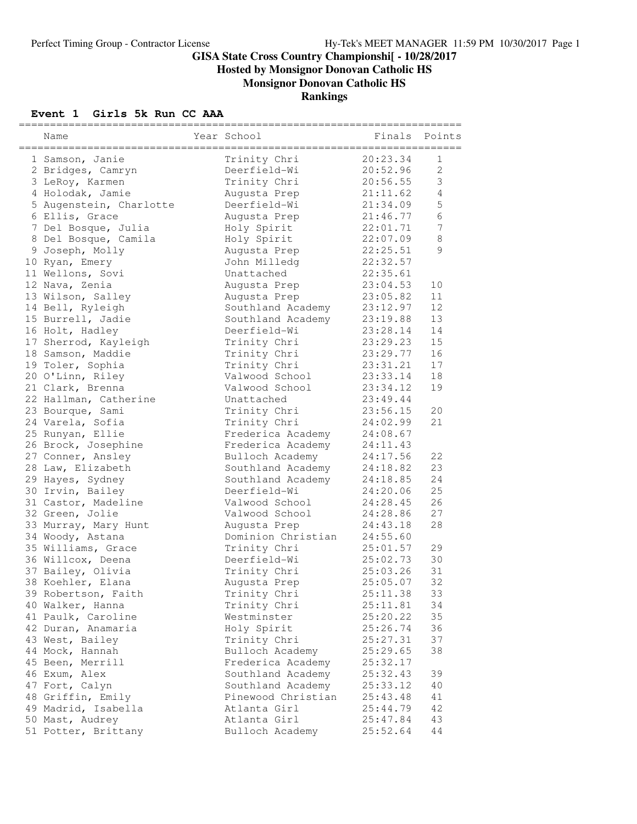**Hosted by Monsignor Donovan Catholic HS**

**Monsignor Donovan Catholic HS**

#### **Rankings**

#### **Event 1 Girls 5k Run CC AAA**

| Name                                                   | Year School                            | Finals Points        |                |
|--------------------------------------------------------|----------------------------------------|----------------------|----------------|
| .==================================<br>1 Samson, Janie | Trinity Chri                           | ======<br>20:23.34   | 1              |
| 2 Bridges, Camryn                                      | Deerfield-Wi                           | 20:52.96             | $\overline{2}$ |
| 3 LeRoy, Karmen                                        | Trinity Chri                           | 20:56.55             | 3              |
| 4 Holodak, Jamie                                       | Augusta Prep                           | 21:11.62             | $\overline{4}$ |
| 5 Augenstein, Charlotte                                | Deerfield-Wi                           | 21:34.09             | 5              |
| 6 Ellis, Grace                                         | Augusta Prep                           | 21:46.77             | 6              |
| 7 Del Bosque, Julia                                    | Holy Spirit                            | 22:01.71             | $\overline{7}$ |
| 8 Del Bosque, Camila                                   | Holy Spirit                            | 22:07.09             | $\,8\,$        |
| 9 Joseph, Molly                                        | Augusta Prep                           | 22:25.51             | 9              |
| 10 Ryan, Emery                                         | John Milledg                           | 22:32.57             |                |
| 11 Wellons, Sovi                                       | Unattached                             | 22:35.61             |                |
| 12 Nava, Zenia                                         | Augusta Prep                           | 23:04.53             | 10             |
| 13 Wilson, Salley                                      | Augusta Prep                           | 23:05.82             | 11             |
| 14 Bell, Ryleigh                                       | Southland Academy                      | 23:12.97             | 12             |
| 15 Burrell, Jadie                                      | Southland Academy                      | 23:19.88             | 13             |
| 16 Holt, Hadley                                        | Deerfield-Wi                           | 23:28.14             | 14             |
| 17 Sherrod, Kayleigh                                   | Trinity Chri                           | 23:29.23             | 15             |
| 18 Samson, Maddie                                      | Trinity Chri                           | 23:29.77             | 16             |
| 19 Toler, Sophia                                       | Trinity Chri                           | 23:31.21             | 17             |
| 20 O'Linn, Riley                                       | Valwood School                         | 23:33.14             | 18             |
| 21 Clark, Brenna                                       | Valwood School                         | 23:34.12             | 19             |
| 22 Hallman, Catherine                                  | Unattached                             | 23:49.44             |                |
| 23 Bourque, Sami                                       | Trinity Chri                           | 23:56.15             | 20             |
| 24 Varela, Sofia                                       | Trinity Chri                           | 24:02.99             | 21             |
| 25 Runyan, Ellie                                       | Frederica Academy                      | 24:08.67             |                |
| 26 Brock, Josephine                                    | Frederica Academy                      | 24:11.43             |                |
| 27 Conner, Ansley                                      | Bulloch Academy                        | 24:17.56             | 22             |
| 28 Law, Elizabeth                                      | Southland Academy                      | 24:18.82             | 23             |
| 29 Hayes, Sydney                                       | Southland Academy                      | 24:18.85             | 24             |
| 30 Irvin, Bailey                                       | Deerfield-Wi                           | 24:20.06             | 25             |
| 31 Castor, Madeline                                    | Valwood School                         | 24:28.45             | 26             |
| 32 Green, Jolie                                        | Valwood School                         | 24:28.86             | 27             |
| 33 Murray, Mary Hunt                                   | Augusta Prep                           | 24:43.18             | 28             |
| 34 Woody, Astana                                       | Dominion Christian                     | 24:55.60             |                |
| 35 Williams, Grace                                     | Trinity Chri                           | 25:01.57             | 29             |
| 36 Willcox, Deena                                      | Deerfield-Wi                           | 25:02.73             | 30             |
| 37 Bailey, Olivia                                      | Trinity Chri                           | 25:03.26             | 31             |
| 38 Koehler, Elana                                      | Augusta Prep                           | 25:05.07             | 32             |
| 39 Robertson, Faith                                    | Trinity Chri                           | 25:11.38             | 33             |
| 40 Walker, Hanna                                       | Trinity Chri                           | 25:11.81             | 34             |
| 41 Paulk, Caroline                                     | Westminster                            | 25:20.22             | 35             |
| 42 Duran, Anamaria                                     | Holy Spirit                            | 25:26.74             | 36             |
| 43 West, Bailey                                        | Trinity Chri                           | 25:27.31             | 37             |
| 44 Mock, Hannah                                        | Bulloch Academy                        | 25:29.65             | 38             |
| 45 Been, Merrill                                       | Frederica Academy                      | 25:32.17             |                |
| 46 Exum, Alex                                          |                                        |                      | 39             |
| 47 Fort, Calyn                                         | Southland Academy<br>Southland Academy | 25:32.43<br>25:33.12 | 40             |
|                                                        | Pinewood Christian                     | 25:43.48             | 41             |
| 48 Griffin, Emily                                      | Atlanta Girl                           |                      | 42             |
| 49 Madrid, Isabella                                    | Atlanta Girl                           | 25:44.79             | 43             |
| 50 Mast, Audrey<br>51 Potter, Brittany                 |                                        | 25:47.84             | 44             |
|                                                        | Bulloch Academy                        | 25:52.64             |                |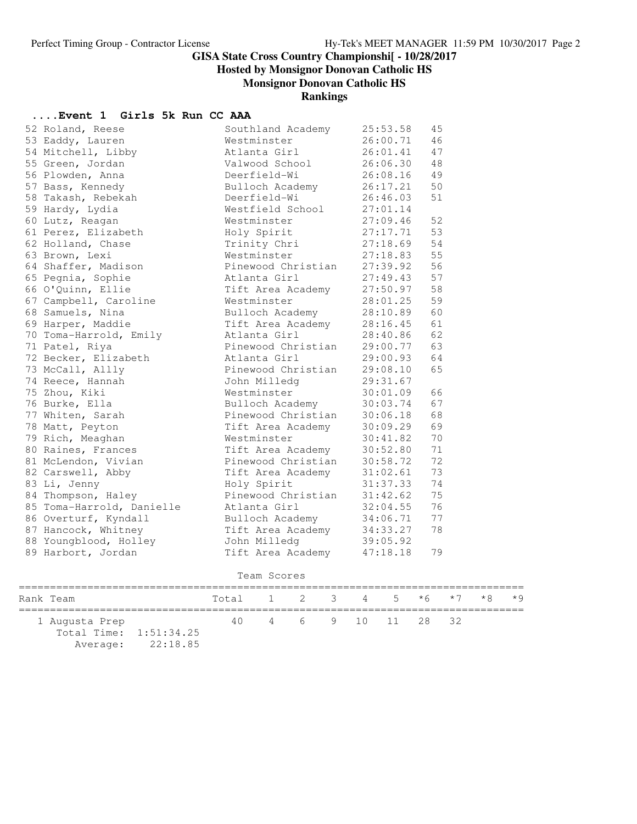**Hosted by Monsignor Donovan Catholic HS**

**Monsignor Donovan Catholic HS**

#### **Rankings**

## **....Event 1 Girls 5k Run CC AAA**

| 52 Roland, Reese          | Southland Academy          | 25:53.58 | 45 |
|---------------------------|----------------------------|----------|----|
| 53 Eaddy, Lauren          | Westminster                | 26:00.71 | 46 |
| 54 Mitchell, Libby        | Atlanta Girl               | 26:01.41 | 47 |
| 55 Green, Jordan          | Valwood School             | 26:06.30 | 48 |
| 56 Plowden, Anna          | Deerfield-Wi               | 26:08.16 | 49 |
| 57 Bass, Kennedy          | Bulloch Academy            | 26:17.21 | 50 |
| 58 Takash, Rebekah        | Deerfield-Wi               | 26:46.03 | 51 |
| 59 Hardy, Lydia           | Westfield School           | 27:01.14 |    |
| 60 Lutz, Reagan           | Westminster                | 27:09.46 | 52 |
| 61 Perez, Elizabeth       | Holy Spirit                | 27:17.71 | 53 |
| 62 Holland, Chase         | Trinity Chri               | 27:18.69 | 54 |
| 63 Brown, Lexi            | Westminster                | 27:18.83 | 55 |
| 64 Shaffer, Madison       | Pinewood Christian         | 27:39.92 | 56 |
| 65 Pegnia, Sophie         | Atlanta Girl               | 27:49.43 | 57 |
| 66 O'Quinn, Ellie         | Tift Area Academy          | 27:50.97 | 58 |
| 67 Campbell, Caroline     | Westminster                | 28:01.25 | 59 |
| 68 Samuels, Nina          | Bulloch Academy            | 28:10.89 | 60 |
| 69 Harper, Maddie         | Tift Area Academy          | 28:16.45 | 61 |
| 70 Toma-Harrold, Emily    | Atlanta Girl               | 28:40.86 | 62 |
| 71 Patel, Riya            | Pinewood Christian         | 29:00.77 | 63 |
| 72 Becker, Elizabeth      | Atlanta Girl               | 29:00.93 | 64 |
| 73 McCall, Allly          | Pinewood Christian         | 29:08.10 | 65 |
| 74 Reece, Hannah          | John Milledg               | 29:31.67 |    |
| 75 Zhou, Kiki             | Westminster                | 30:01.09 | 66 |
| 76 Burke, Ella            | Bulloch Academy            | 30:03.74 | 67 |
| 77 Whiten, Sarah          | Pinewood Christian         | 30:06.18 | 68 |
| 78 Matt, Peyton           | Tift Area Academy          | 30:09.29 | 69 |
| 79 Rich, Meaghan          | Westminster                | 30:41.82 | 70 |
| 80 Raines, Frances        | Tift Area Academy          | 30:52.80 | 71 |
| 81 McLendon, Vivian       | Pinewood Christian         | 30:58.72 | 72 |
| 82 Carswell, Abby         | Tift Area Academy          | 31:02.61 | 73 |
| 83 Li, Jenny              | Holy Spirit                | 31:37.33 | 74 |
| 84 Thompson, Haley        | Pinewood Christian         | 31:42.62 | 75 |
| 85 Toma-Harrold, Danielle | Atlanta Girl               | 32:04.55 | 76 |
| 86 Overturf, Kyndall      | Bulloch Academy            | 34:06.71 | 77 |
| 87 Hancock, Whitney       | Tift Area Academy          | 34:33.27 | 78 |
| 88 Youngblood, Holley     | John Milledg               | 39:05.92 |    |
| 89 Harbort, Jordan        | Tift Area Academy 47:18.18 |          | 79 |
|                           |                            |          |    |

| Team Scores |
|-------------|
|             |

| Rank Team                                |                   | Total 1 2 3 4 5 $*6$ $*7$ $*8$ $*9$ |                      |  |  |  |  |
|------------------------------------------|-------------------|-------------------------------------|----------------------|--|--|--|--|
| 1 Augusta Prep<br>Total Time: 1:51:34.25 |                   |                                     | 40 4 6 9 10 11 28 32 |  |  |  |  |
|                                          | Average: 22:18.85 |                                     |                      |  |  |  |  |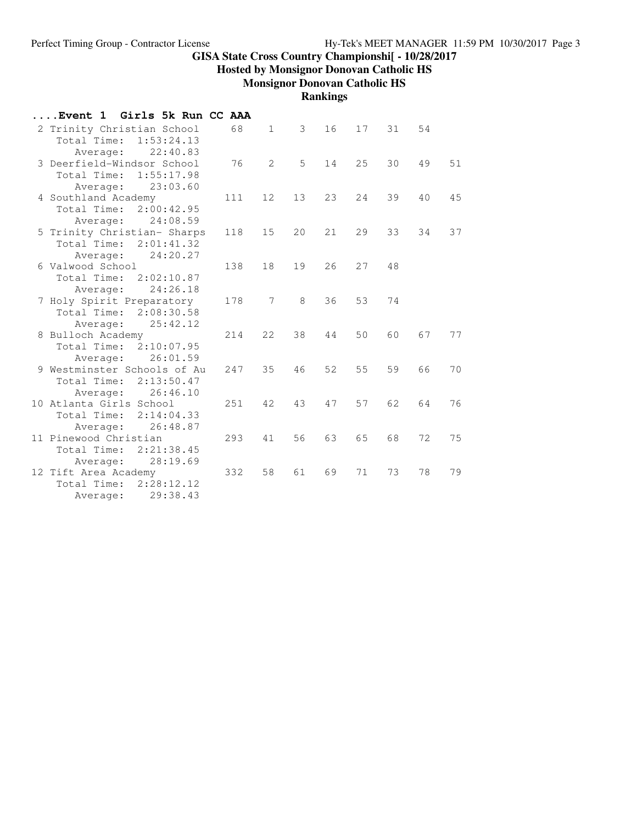**Hosted by Monsignor Donovan Catholic HS**

**Monsignor Donovan Catholic HS**

**Rankings**

| Girls 5k Run CC AAA<br>Event 1                |     |              |    |    |     |    |    |    |
|-----------------------------------------------|-----|--------------|----|----|-----|----|----|----|
| 2 Trinity Christian School                    | 68  | $\mathbf{1}$ | 3  | 16 | 17  | 31 | 54 |    |
| Total Time:<br>1:53:24.13                     |     |              |    |    |     |    |    |    |
| 22:40.83<br>Average:                          |     |              |    |    |     |    |    |    |
| 3 Deerfield-Windsor School                    | 76  | 2            | 5  | 14 | 25  | 30 | 49 | 51 |
| Total Time:<br>1:55:17.98                     |     |              |    |    |     |    |    |    |
| 23:03.60<br>Average:                          |     |              |    |    |     |    |    |    |
| 4 Southland Academy                           | 111 | 12           | 13 | 23 | 24  | 39 | 40 | 45 |
| Total Time:<br>2:00:42.95                     |     |              |    |    |     |    |    |    |
| Average:<br>24:08.59                          |     |              |    |    |     |    |    |    |
| 5 Trinity Christian- Sharps                   | 118 | 15           | 20 | 21 | 29  | 33 | 34 | 37 |
| Total Time: 2:01:41.32                        |     |              |    |    |     |    |    |    |
| 24:20.27<br>Average:                          |     |              |    |    |     |    |    |    |
| 6 Valwood School                              | 138 | 18           | 19 | 26 | 2.7 | 48 |    |    |
| Total Time:<br>2:02:10.87                     |     |              |    |    |     |    |    |    |
| 24:26.18<br>Average:                          |     |              |    |    |     |    |    |    |
| 7 Holy Spirit Preparatory                     | 178 | 7            | 8  | 36 | 53  | 74 |    |    |
| Total Time:<br>2:08:30.58                     |     |              |    |    |     |    |    |    |
| 25:42.12<br>Average:                          |     |              |    |    |     |    |    |    |
| 8 Bulloch Academy                             | 214 | 22           | 38 | 44 | 50  | 60 | 67 | 77 |
| Total Time:<br>2:10:07.95                     |     |              |    |    |     |    |    |    |
| 26:01.59<br>Average:                          |     |              |    |    |     |    |    |    |
| 9 Westminster Schools of Au                   | 247 | 35           | 46 | 52 | 55  | 59 | 66 | 70 |
| Total Time:<br>2:13:50.47                     |     |              |    |    |     |    |    |    |
| 26:46.10<br>Average:                          |     |              |    |    |     |    |    |    |
| 10 Atlanta Girls School                       | 251 | 42           | 43 | 47 | 57  | 62 | 64 | 76 |
| Total Time:<br>2:14:04.33                     |     |              |    |    |     |    |    |    |
| 26:48.87<br>Average:<br>11 Pinewood Christian |     | 41           | 56 | 63 | 65  | 68 | 72 | 75 |
| Total Time:<br>2:21:38.45                     | 293 |              |    |    |     |    |    |    |
|                                               |     |              |    |    |     |    |    |    |
| 28:19.69<br>Average:<br>12 Tift Area Academy  | 332 | 58           | 61 | 69 | 71  | 73 | 78 | 79 |
| Total Time:<br>2:28:12.12                     |     |              |    |    |     |    |    |    |
| 29:38.43                                      |     |              |    |    |     |    |    |    |
| Average:                                      |     |              |    |    |     |    |    |    |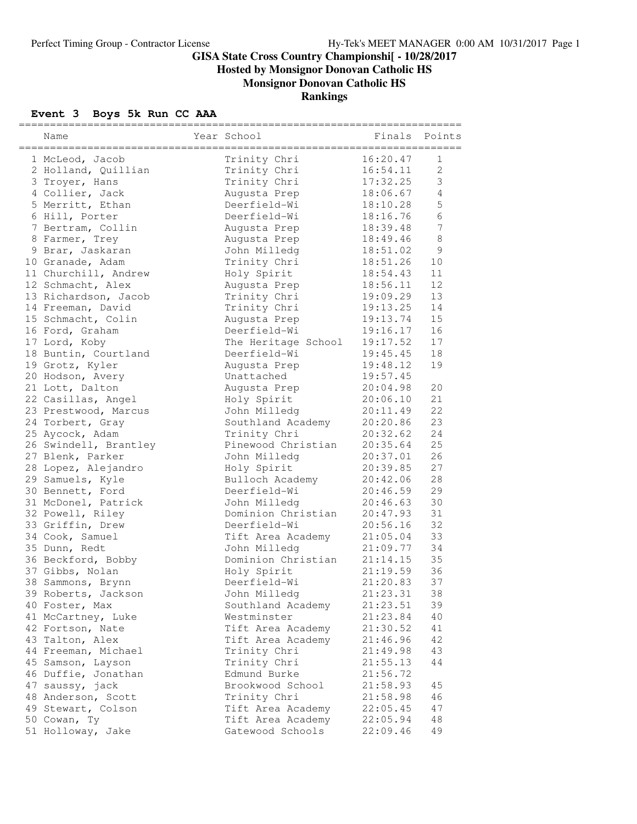**Hosted by Monsignor Donovan Catholic HS**

# **Monsignor Donovan Catholic HS**

#### **Rankings**

## **Event 3 Boys 5k Run CC AAA**

| Name                                                   | Year School                        |                      | Finals Points   |
|--------------------------------------------------------|------------------------------------|----------------------|-----------------|
| -==================================<br>1 McLeod, Jacob | Trinity Chri                       | i======<br>16:20.47  | 1               |
| 2 Holland, Quillian                                    | Trinity Chri                       | 16:54.11             | $\overline{2}$  |
| 3 Troyer, Hans                                         | Trinity Chri                       | 17:32.25             | 3               |
| 4 Collier, Jack                                        | Augusta Prep                       | 18:06.67             | $\overline{4}$  |
| 5 Merritt, Ethan                                       | Deerfield-Wi                       | 18:10.28             | 5               |
| 6 Hill, Porter                                         | Deerfield-Wi                       | 18:16.76             | 6               |
| 7 Bertram, Collin                                      | Augusta Prep                       | 18:39.48             | $7\phantom{.0}$ |
| 8 Farmer, Trey                                         | Augusta Prep                       | 18:49.46             | $\,8\,$         |
| 9 Brar, Jaskaran                                       | John Milledg                       | 18:51.02             | 9               |
| 10 Granade, Adam                                       | Trinity Chri                       | 18:51.26             | 10              |
| 11 Churchill, Andrew                                   | Holy Spirit                        | 18:54.43             | 11              |
| 12 Schmacht, Alex                                      | Augusta Prep                       | 18:56.11             | 12              |
| 13 Richardson, Jacob                                   | Trinity Chri                       | 19:09.29             | 13              |
| 14 Freeman, David                                      | Trinity Chri                       | 19:13.25             | 14              |
| 15 Schmacht, Colin                                     | Augusta Prep                       | 19:13.74             | 15              |
| 16 Ford, Graham                                        | Deerfield-Wi                       | 19:16.17             | 16              |
| 17 Lord, Koby                                          | The Heritage School                | 19:17.52             | 17              |
| 18 Buntin, Courtland                                   | Deerfield-Wi                       | 19:45.45             | 18              |
| 19 Grotz, Kyler                                        | Augusta Prep                       | 19:48.12             | 19              |
| 20 Hodson, Avery                                       | Unattached                         | 19:57.45             |                 |
| 21 Lott, Dalton                                        | Augusta Prep                       | 20:04.98             | 20              |
| 22 Casillas, Angel                                     | Holy Spirit                        | 20:06.10             | 21              |
| 23 Prestwood, Marcus                                   | John Milledg                       | 20:11.49             | 22              |
| 24 Torbert, Gray                                       | Southland Academy                  | 20:20.86             | 23              |
| 25 Aycock, Adam                                        | Trinity Chri                       | 20:32.62             | 24              |
| 26 Swindell, Brantley                                  | Pinewood Christian                 | 20:35.64             | 25              |
| 27 Blenk, Parker                                       | John Milledg                       | 20:37.01             | 26              |
| 28 Lopez, Alejandro                                    | Holy Spirit                        | 20:39.85             | 27              |
| 29 Samuels, Kyle                                       | Bulloch Academy                    | 20:42.06             | 28              |
| 30 Bennett, Ford                                       | Deerfield-Wi                       | 20:46.59             | 29              |
| 31 McDonel, Patrick                                    | John Milledg                       | 20:46.63             | 30              |
| 32 Powell, Riley                                       | Dominion Christian                 | 20:47.93             | 31              |
| 33 Griffin, Drew                                       | Deerfield-Wi                       | 20:56.16             | 32              |
| 34 Cook, Samuel                                        | Tift Area Academy                  | 21:05.04             | 33              |
| 35 Dunn, Redt                                          | John Milledg<br>Dominion Christian | 21:09.77             | 34              |
| 36 Beckford, Bobby                                     |                                    | 21:14.15             | 35              |
| 37 Gibbs, Nolan                                        | Holy Spirit                        | 21:19.59             | 36              |
| 38 Sammons, Brynn                                      | Deerfield-Wi                       | 21:20.83             | 37              |
| 39 Roberts, Jackson                                    | John Milledg                       | 21:23.31<br>21:23.51 | 38<br>39        |
| 40 Foster, Max<br>41 McCartney, Luke                   | Southland Academy<br>Westminster   | 21:23.84             | 40              |
| 42 Fortson, Nate                                       | Tift Area Academy                  | 21:30.52             | 41              |
| 43 Talton, Alex                                        | Tift Area Academy                  | 21:46.96             | 42              |
| 44 Freeman, Michael                                    | Trinity Chri                       | 21:49.98             | 43              |
| 45 Samson, Layson                                      | Trinity Chri                       | 21:55.13             | 44              |
| 46 Duffie, Jonathan                                    | Edmund Burke                       | 21:56.72             |                 |
| 47 saussy, jack                                        | Brookwood School                   | 21:58.93             | 45              |
| 48 Anderson, Scott                                     | Trinity Chri                       | 21:58.98             | 46              |
| 49 Stewart, Colson                                     | Tift Area Academy                  | 22:05.45             | 47              |
| 50 Cowan, Ty                                           | Tift Area Academy                  | 22:05.94             | 48              |
| 51 Holloway, Jake                                      | Gatewood Schools                   | 22:09.46             | 49              |
|                                                        |                                    |                      |                 |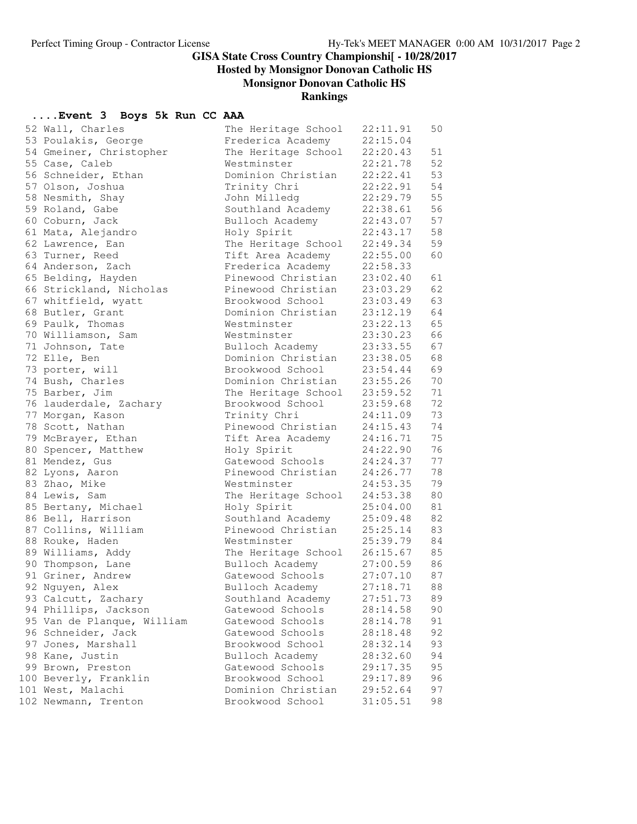**Hosted by Monsignor Donovan Catholic HS**

**Monsignor Donovan Catholic HS**

#### **Rankings**

## **....Event 3 Boys 5k Run CC AAA**

| 52 Wall, Charles           | The Heritage School       | 22:11.91 | 50 |
|----------------------------|---------------------------|----------|----|
| 53 Poulakis, George        | Frederica Academy         | 22:15.04 |    |
| 54 Gmeiner, Christopher    | The Heritage School       | 22:20.43 | 51 |
| 55 Case, Caleb             | Westminster               | 22:21.78 | 52 |
| 56 Schneider, Ethan        | Dominion Christian        | 22:22.41 | 53 |
| 57 Olson, Joshua           | Trinity Chri              | 22:22.91 | 54 |
| 58 Nesmith, Shay           | John Milledg              | 22:29.79 | 55 |
| 59 Roland, Gabe            | Southland Academy         | 22:38.61 | 56 |
| 60 Coburn, Jack            | Bulloch Academy           | 22:43.07 | 57 |
| 61 Mata, Alejandro         | Holy Spirit               | 22:43.17 | 58 |
| 62 Lawrence, Ean           | The Heritage School       | 22:49.34 | 59 |
| 63 Turner, Reed            | Tift Area Academy         | 22:55.00 | 60 |
| 64 Anderson, Zach          | Frederica Academy         | 22:58.33 |    |
| 65 Belding, Hayden         | Pinewood Christian        | 23:02.40 | 61 |
| 66 Strickland, Nicholas    | Pinewood Christian        | 23:03.29 | 62 |
| 67 whitfield, wyatt        | Brookwood School          | 23:03.49 | 63 |
| 68 Butler, Grant           | Dominion Christian        | 23:12.19 | 64 |
| 69 Paulk, Thomas           | Westminster               | 23:22.13 | 65 |
| 70 Williamson, Sam         | Westminster               | 23:30.23 | 66 |
| 71 Johnson, Tate           | Bulloch Academy           | 23:33.55 | 67 |
| 72 Elle, Ben               | Dominion Christian        | 23:38.05 | 68 |
| 73 porter, will            | Brookwood School          | 23:54.44 | 69 |
| 74 Bush, Charles           | Dominion Christian        | 23:55.26 | 70 |
|                            | The Heritage School       | 23:59.52 | 71 |
| 75 Barber, Jim             |                           |          | 72 |
| 76 lauderdale, Zachary     | Brookwood School          | 23:59.68 |    |
| 77 Morgan, Kason           | Trinity Chri              | 24:11.09 | 73 |
| 78 Scott, Nathan           | Pinewood Christian        | 24:15.43 | 74 |
| 79 McBrayer, Ethan         | Tift Area Academy         | 24:16.71 | 75 |
| 80 Spencer, Matthew        | Holy Spirit               | 24:22.90 | 76 |
| 81 Mendez, Gus             | Gatewood Schools          | 24:24.37 | 77 |
| 82 Lyons, Aaron            | Pinewood Christian        | 24:26.77 | 78 |
| 83 Zhao, Mike              | Westminster               | 24:53.35 | 79 |
| 84 Lewis, Sam              | The Heritage School       | 24:53.38 | 80 |
| 85 Bertany, Michael        | Holy Spirit               | 25:04.00 | 81 |
| 86 Bell, Harrison          | Southland Academy         | 25:09.48 | 82 |
| 87 Collins, William        | Pinewood Christian        | 25:25.14 | 83 |
| 88 Rouke, Haden            | Westminster               | 25:39.79 | 84 |
| 89 Williams, Addy          | The Heritage School       | 26:15.67 | 85 |
| 90 Thompson, Lane          | Bulloch Academy           | 27:00.59 | 86 |
| 91 Griner, Andrew          | Gatewood Schools 27:07.10 |          | 87 |
| 92 Nguyen, Alex            | Bulloch Academy           | 27:18.71 | 88 |
| 93 Calcutt, Zachary        | Southland Academy         | 27:51.73 | 89 |
| 94 Phillips, Jackson       | Gatewood Schools          | 28:14.58 | 90 |
| 95 Van de Planque, William | Gatewood Schools          | 28:14.78 | 91 |
| 96 Schneider, Jack         | Gatewood Schools          | 28:18.48 | 92 |
| 97 Jones, Marshall         | Brookwood School          | 28:32.14 | 93 |
| 98 Kane, Justin            | Bulloch Academy           | 28:32.60 | 94 |
| 99 Brown, Preston          | Gatewood Schools          | 29:17.35 | 95 |
| 100 Beverly, Franklin      | Brookwood School          | 29:17.89 | 96 |
| 101 West, Malachi          | Dominion Christian        | 29:52.64 | 97 |
| 102 Newmann, Trenton       | Brookwood School          | 31:05.51 | 98 |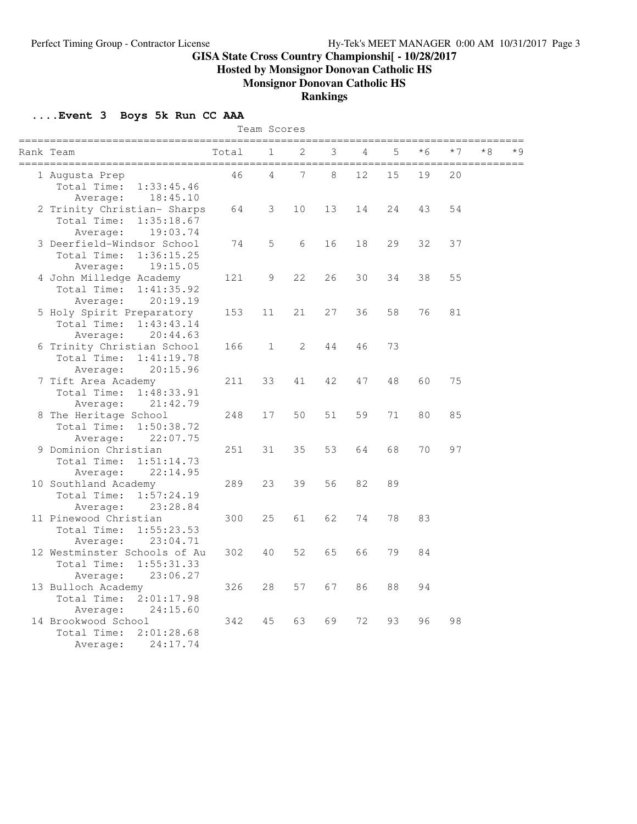**Hosted by Monsignor Donovan Catholic HS**

**Monsignor Donovan Catholic HS**

#### **Rankings**

## **....Event 3 Boys 5k Run CC AAA**

|                                                                                   |       | Team Scores        |       |    |    |    |      |      |    |  |
|-----------------------------------------------------------------------------------|-------|--------------------|-------|----|----|----|------|------|----|--|
| Rank Team<br>======================                                               | Total | 1<br>============= | 2     | 3  | 4  | 5  | $*6$ | $*7$ | *8 |  |
| 1 Augusta Prep<br>Total Time:<br>1:33:45.46<br>Average:<br>18:45.10               | 46    | 4                  | 7     | 8  | 12 | 15 | 19   | 20   |    |  |
| 2 Trinity Christian- Sharps<br>Total Time:<br>1:35:18.67<br>Average:<br>19:03.74  | 64    | 3                  | 10    | 13 | 14 | 24 | 43   | 54   |    |  |
| 3 Deerfield-Windsor School<br>Total Time:<br>1:36:15.25<br>19:15.05<br>Average:   | 74    | 5                  | $6\,$ | 16 | 18 | 29 | 32   | 37   |    |  |
| 4 John Milledge Academy<br>Total Time:<br>1:41:35.92<br>20:19.19<br>Average:      | 121   | 9                  | 22    | 26 | 30 | 34 | 38   | 55   |    |  |
| 5 Holy Spirit Preparatory<br>Total Time:<br>1:43:43.14<br>Average:<br>20:44.63    | 153   | 11                 | 21    | 27 | 36 | 58 | 76   | 81   |    |  |
| 6 Trinity Christian School<br>Total Time:<br>1:41:19.78<br>20:15.96<br>Average:   | 166   | $\mathbf 1$        | 2     | 44 | 46 | 73 |      |      |    |  |
| 7 Tift Area Academy<br>Total Time:<br>1:48:33.91<br>21:42.79<br>Average:          | 211   | 33                 | 41    | 42 | 47 | 48 | 60   | 75   |    |  |
| 8 The Heritage School<br>Total Time:<br>1:50:38.72<br>22:07.75<br>Average:        | 248   | 17                 | 50    | 51 | 59 | 71 | 80   | 85   |    |  |
| 9 Dominion Christian<br>Total Time:<br>1:51:14.73<br>22:14.95<br>Average:         | 251   | 31                 | 35    | 53 | 64 | 68 | 70   | 97   |    |  |
| 10 Southland Academy<br>1:57:24.19<br>Total Time:<br>23:28.84<br>Average:         | 289   | 23                 | 39    | 56 | 82 | 89 |      |      |    |  |
| 11 Pinewood Christian<br>Total Time:<br>1:55:23.53<br>23:04.71<br>Average:        | 300   | 25                 | 61    | 62 | 74 | 78 | 83   |      |    |  |
| 12 Westminster Schools of Au<br>Total Time:<br>1:55:31.33<br>23:06.27<br>Average: | 302   | 40                 | 52    | 65 | 66 | 79 | 84   |      |    |  |
| 13 Bulloch Academy<br>Total Time:<br>2:01:17.98<br>Average:<br>24:15.60           | 326   | 28                 | 57    | 67 | 86 | 88 | 94   |      |    |  |
| 14 Brookwood School<br>Total Time:<br>2:01:28.68<br>24:17.74<br>Average:          | 342   | 45                 | 63    | 69 | 72 | 93 | 96   | 98   |    |  |